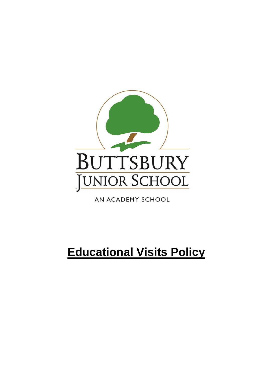

AN ACADEMY SCHOOL

# **Educational Visits Policy**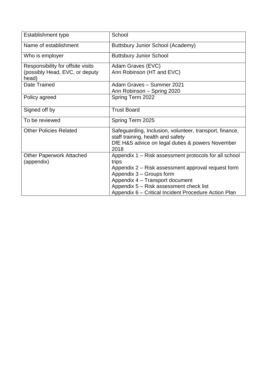| <b>Establishment type</b>               | School                                                                                       |
|-----------------------------------------|----------------------------------------------------------------------------------------------|
| Name of establishment                   | Buttsbury Junior School (Academy)                                                            |
| Who is employer                         | <b>Buttsbury Junior School</b>                                                               |
| Responsibility for offsite visits       | Adam Graves (EVC)                                                                            |
| (possibly Head, EVC, or deputy<br>head) | Ann Robinson (HT and EVC)                                                                    |
| Date Trained                            | Adam Graves - Summer 2021                                                                    |
|                                         | Ann Robinson - Spring 2020                                                                   |
| Policy agreed                           | Spring Term 2022                                                                             |
| Signed off by                           | <b>Trust Board</b>                                                                           |
| To be reviewed                          | Spring Term 2025                                                                             |
| <b>Other Policies Related</b>           | Safeguarding, Inclusion, volunteer, transport, finance,<br>staff training, health and safety |
|                                         | DfE H&S advice on legal duties & powers November<br>2018                                     |
| <b>Other Paperwork Attached</b>         | Appendix 1 - Risk assessment protocols for all school                                        |
| (appendix)                              | trips                                                                                        |
|                                         | Appendix 2 – Risk assessment approval request form                                           |
|                                         | Appendix 3 - Groups form                                                                     |
|                                         | Appendix 4 - Transport document                                                              |
|                                         | Appendix 5 - Risk assessment check list                                                      |
|                                         | Appendix 6 – Critical Incident Procedure Action Plan                                         |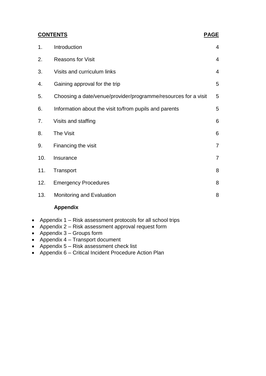|     | <b>CONTENTS</b>                                                | <b>PAGE</b>    |
|-----|----------------------------------------------------------------|----------------|
| 1.  | Introduction                                                   | 4              |
| 2.  | <b>Reasons for Visit</b>                                       | 4              |
| 3.  | Visits and curriculum links                                    | 4              |
| 4.  | Gaining approval for the trip                                  | 5              |
| 5.  | Choosing a date/venue/provider/programme/resources for a visit | 5              |
| 6.  | Information about the visit to/from pupils and parents         | 5              |
| 7.  | Visits and staffing                                            | 6              |
| 8.  | The Visit                                                      | 6              |
| 9.  | Financing the visit                                            | $\overline{7}$ |
| 10. | Insurance                                                      | $\overline{7}$ |
| 11. | Transport                                                      | 8              |
| 12. | <b>Emergency Procedures</b>                                    | 8              |
| 13. | Monitoring and Evaluation                                      | 8              |
|     |                                                                |                |

#### **Appendix**

- Appendix 1 Risk assessment protocols for all school trips
- Appendix 2 Risk assessment approval request form
- Appendix  $3 -$  Groups form
- Appendix 4 Transport document
- Appendix 5 Risk assessment check list
- Appendix 6 Critical Incident Procedure Action Plan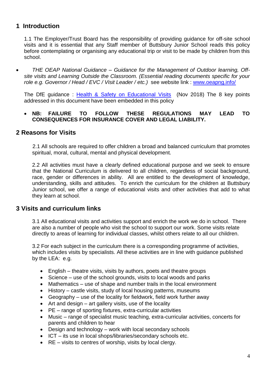#### **1 Introduction**

1.1 The Employer/Trust Board has the responsibility of providing guidance for off-site school visits and it is essential that any Staff member of Buttsbury Junior School reads this policy before contemplating or organising any educational trip or visit to be made by children from this school.

• *THE OEAP National Guidance – Guidance for the Management of Outdoor learning, Offsite visits and Learning Outside the Classroom. (Essential reading documents specific for your role e.g. Governor / Head / EVC / Visit Leader / etc.)* see website link : [www.oeapng.info/](http://www.oeapng.info/) 

The DfE guidance : [Health & Safety on Educational Visits](https://www.gov.uk/government/publications/health-and-safety-on-educational-visits/health-and-safety-on-educational-visits) (Nov 2018) The 8 key points addressed in this document have been embedded in this policy

#### • **NB: FAILURE TO FOLLOW THESE REGULATIONS MAY LEAD TO CONSEQUENCES FOR INSURANCE COVER AND LEGAL LIABILITY.**

#### **2 Reasons for Visits**

 2.1 All schools are required to offer children a broad and balanced curriculum that promotes spiritual, moral, cultural, mental and physical development.

2.2 All activities must have a clearly defined educational purpose and we seek to ensure that the National Curriculum is delivered to all children, regardless of social background, race, gender or differences in ability. All are entitled to the development of knowledge, understanding, skills and attitudes. To enrich the curriculum for the children at Buttsbury Junior school, we offer a range of educational visits and other activities that add to what they learn at school.

#### **3 Visits and curriculum links**

3.1 All educational visits and activities support and enrich the work we do in school. There are also a number of people who visit the school to support our work. Some visits relate directly to areas of learning for individual classes, whilst others relate to all our children.

3.2 For each subject in the curriculum there is a corresponding programme of activities, which includes visits by specialists. All these activities are in line with guidance published by the LEA: e.g.

- English theatre visits, visits by authors, poets and theatre groups
- Science use of the school grounds, visits to local woods and parks
- Mathematics use of shape and number trails in the local environment
- History castle visits, study of local housing patterns, museums
- Geography use of the locality for fieldwork, field work further away
- Art and design art gallery visits, use of the locality
- PE range of sporting fixtures, extra-curricular activities
- Music range of specialist music teaching, extra-curricular activities, concerts for parents and children to hear
- Design and technology work with local secondary schools
- ICT its use in local shops/libraries/secondary schools etc.
- RE visits to centres of worship, visits by local clergy.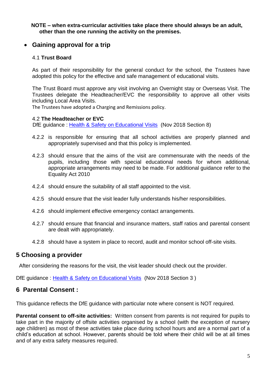#### **NOTE – when extra-curricular activities take place there should always be an adult, other than the one running the activity on the premises.**

#### • **Gaining approval for a trip**

#### 4.1 **Trust Board**

As part of their responsibility for the general conduct for the school, the Trustees have adopted this policy for the effective and safe management of educational visits.

The Trust Board must approve any visit involving an Overnight stay or Overseas Visit. The Trustees delegate the Headteacher/EVC the responsibility to approve all other visits including Local Area Visits.

The Trustees have adopted a Charging and Remissions policy.

#### 4.2 **The Headteacher or EVC**

DfE guidance : [Health & Safety on Educational Visits](https://www.gov.uk/government/publications/health-and-safety-on-educational-visits/health-and-safety-on-educational-visits) (Nov 2018 Section 8)

- 4.2.2 is responsible for ensuring that all school activities are properly planned and appropriately supervised and that this policy is implemented.
- 4.2.3 should ensure that the aims of the visit are commensurate with the needs of the pupils, including those with special educational needs for whom additional, appropriate arrangements may need to be made. For additional guidance refer to the Equality Act 2010
- 4.2.4 should ensure the suitability of all staff appointed to the visit.
- 4.2.5 should ensure that the visit leader fully understands his/her responsibilities.
- 4.2.6 should implement effective emergency contact arrangements.
- 4.2.7 should ensure that financial and insurance matters, staff ratios and parental consent are dealt with appropriately.
- 4.2.8 should have a system in place to record, audit and monitor school off-site visits.

#### **5 Choosing a provider**

After considering the reasons for the visit, the visit leader should check out the provider.

DfE guidance : [Health & Safety on Educational Visits](https://www.gov.uk/government/publications/health-and-safety-on-educational-visits/health-and-safety-on-educational-visits) (Nov 2018 Section 3 )

#### **6 Parental Consent :**

This guidance reflects the DfE guidance with particular note where consent is NOT required.

**Parental consent to off-site activities:** Written consent from parents is not required for pupils to take part in the majority of offsite activities organised by a school (with the exception of nursery age children) as most of these activities take place during school hours and are a normal part of a child's education at school. However, parents should be told where their child will be at all times and of any extra safety measures required.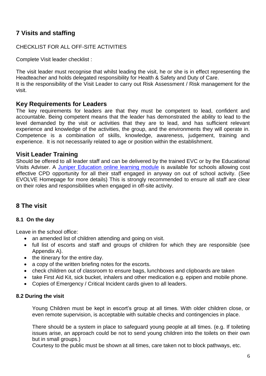#### **7 Visits and staffing**

#### CHECKLIST FOR ALL OFF-SITE ACTIVITIES

Complete Visit leader checklist :

The visit leader must recognise that whilst leading the visit, he or she is in effect representing the Headteacher and holds delegated responsibility for Health & Safety and Duty of Care. It is the responsibility of the Visit Leader to carry out Risk Assessment / Risk management for the visit.

#### **Key Requirements for Leaders**

The key requirements for leaders are that they must be competent to lead, confident and accountable. Being competent means that the leader has demonstrated the ability to lead to the level demanded by the visit or activities that they are to lead, and has sufficient relevant experience and knowledge of the activities, the group, and the environments they will operate in. Competence is a combination of skills, knowledge, awareness, judgement, training and experience. It is not necessarily related to age or position within the establishment.

#### **Visit Leader Training**

Should be offered to all leader staff and can be delivered by the trained EVC or by the Educational Visits Adviser. A Juniper Education [online learning module](https://junipereducation.org/educational-visits/) is available for schools allowing cost effective CPD opportunity for all their staff engaged in anyway on out of school activity. (See EVOLVE Homepage for more details) This is strongly recommended to ensure all staff are clear on their roles and responsibilities when engaged in off-site activity.

#### **8 The visit**

#### **8.1 On the day**

Leave in the school office:

- an amended list of children attending and going on visit.
- full list of escorts and staff and groups of children for which they are responsible (see Appendix A).
- the itinerary for the entire day.
- a copy of the written briefing notes for the escorts.
- check children out of classroom to ensure bags, lunchboxes and clipboards are taken
- take First Aid Kit, sick bucket, inhalers and other medication e.g. epipen and mobile phone.
- Copies of Emergency / Critical Incident cards given to all leaders.

#### **8.2 During the visit**

Young Children must be kept in escort's group at all times. With older children close, or even remote supervision, is acceptable with suitable checks and contingencies in place.

There should be a system in place to safeguard young people at all times. (e.g. If toileting issues arise, an approach could be not to send young children into the toilets on their own but in small groups.)

Courtesy to the public must be shown at all times, care taken not to block pathways, etc.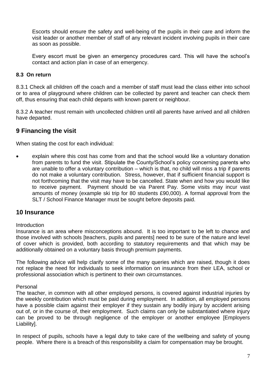Escorts should ensure the safety and well-being of the pupils in their care and inform the visit leader or another member of staff of any relevant incident involving pupils in their care as soon as possible.

Every escort must be given an emergency procedures card. This will have the school's contact and action plan in case of an emergency.

#### **8.3 On return**

8.3.1 Check all children off the coach and a member of staff must lead the class either into school or to area of playground where children can be collected by parent and teacher can check them off, thus ensuring that each child departs with known parent or neighbour.

8.3.2 A teacher must remain with uncollected children until all parents have arrived and all children have departed.

#### **9 Financing the visit**

When stating the cost for each individual:

• explain where this cost has come from and that the school would like a voluntary donation from parents to fund the visit. Stipulate the County/School's policy concerning parents who are unable to offer a voluntary contribution – which is that, no child will miss a trip if parents do not make a voluntary contribution. Stress, however, that if sufficient financial support is not forthcoming that the visit may have to be cancelled. State when and how you would like to receive payment. Payment should be via Parent Pay. Some visits may incur vast amounts of money (example ski trip for 80 students £90,000). A formal approval from the SLT / School Finance Manager must be sought before deposits paid.

#### **10 Insurance**

#### Introduction

Insurance is an area where misconceptions abound. It is too important to be left to chance and those involved with schools [teachers, pupils and parents] need to be sure of the nature and level of cover which is provided, both according to statutory requirements and that which may be additionally obtained on a voluntary basis through premium payments.

The following advice will help clarify some of the many queries which are raised, though it does not replace the need for individuals to seek information on insurance from their LEA, school or professional association which is pertinent to their own circumstances.

Personal

The teacher, in common with all other employed persons, is covered against industrial injuries by the weekly contribution which must be paid during employment. In addition, all employed persons have a possible claim against their employer if they sustain any bodily injury by accident arising out of, or in the course of, their employment. Such claims can only be substantiated where injury can be proved to be through negligence of the employer or another employee [Employers Liability].

In respect of pupils, schools have a legal duty to take care of the wellbeing and safety of young people. Where there is a breach of this responsibility a claim for compensation may be brought.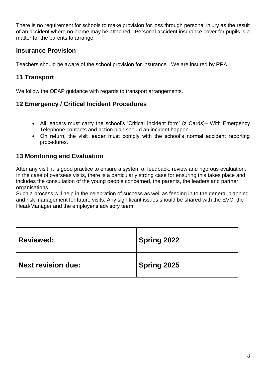There is no requirement for schools to make provision for loss through personal injury as the result of an accident where no blame may be attached. Personal accident insurance cover for pupils is a matter for the parents to arrange.

#### **Insurance Provision**

Teachers should be aware of the school provision for insurance. We are insured by RPA.

#### **11 Transport**

We follow the OEAP guidance with regards to transport arrangements.

#### **12 Emergency / Critical Incident Procedures**

- All leaders must carry the school's 'Critical Incident form' (z Cards)– With Emergency Telephone contacts and action plan should an incident happen.
- On return, the visit leader must comply with the school's normal accident reporting procedures.

#### **13 Monitoring and Evaluation**

After any visit, it is good practice to ensure a system of feedback, review and rigorous evaluation. In the case of overseas visits, there is a particularly strong case for ensuring this takes place and includes the consultation of the young people concerned, the parents, the leaders and partner organisations.

Such a process will help in the celebration of success as well as feeding in to the general planning and risk management for future visits. Any significant issues should be shared with the EVC, the Head/Manager and the employer's advisory team.

| <b>Reviewed:</b>          | <b>Spring 2022</b> |
|---------------------------|--------------------|
| <b>Next revision due:</b> | Spring 2025        |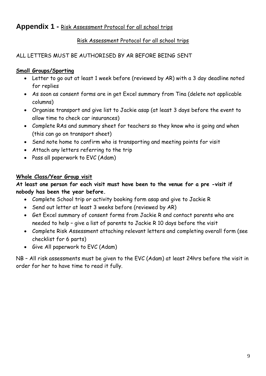### **Appendix 1 -** Risk Assessment Protocol for all school trips

#### Risk Assessment Protocol for all school trips

#### ALL LETTERS MUST BE AUTHORISED BY AR BEFORE BEING SENT

#### **Small Groups/Sporting**

- Letter to go out at least 1 week before (reviewed by AR) with a 3 day deadline noted for replies
- As soon as consent forms are in get Excel summary from Tina (delete not applicable columns)
- Organise transport and give list to Jackie asap (at least 3 days before the event to allow time to check car insurances)
- Complete RAs and summary sheet for teachers so they know who is going and when (this can go on transport sheet)
- Send note home to confirm who is transporting and meeting points for visit
- Attach any letters referring to the trip
- Pass all paperwork to EVC (Adam)

#### **Whole Class/Year Group visit**

#### **At least one person for each visit must have been to the venue for a pre -visit if nobody has been the year before.**

- Complete School trip or activity booking form asap and give to Jackie R
- Send out letter at least 3 weeks before (reviewed by AR)
- Get Excel summary of consent forms from Jackie R and contact parents who are needed to help – give a list of parents to Jackie R 10 days before the visit
- Complete Risk Assessment attaching relevant letters and completing overall form (see checklist for 6 parts)
- Give All paperwork to EVC (Adam)

NB – All risk assessments must be given to the EVC (Adam) at least 24hrs before the visit in order for her to have time to read it fully.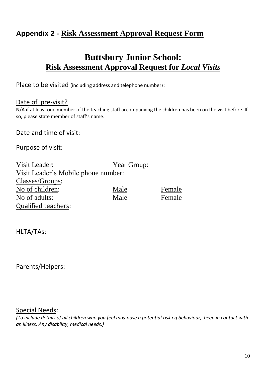### **Appendix 2 - Risk Assessment Approval Request Form**

### **Buttsbury Junior School: Risk Assessment Approval Request for** *Local Visits*

#### Place to be visited (including address and telephone number):

#### Date of pre-visit?

N/A if at least one member of the teaching staff accompanying the children has been on the visit before. If so, please state member of staff's name.

#### Date and time of visit:

#### Purpose of visit:

| Visit Leader:                       | Year Group: |        |
|-------------------------------------|-------------|--------|
| Visit Leader's Mobile phone number: |             |        |
| Classes/Groups:                     |             |        |
| No of children:                     | Male        | Female |
| No of adults:                       | Male        | Female |
| <b>Qualified teachers:</b>          |             |        |

#### HLTA/TAs:

#### Parents/Helpers:

#### Special Needs:

*(To include details of all children who you feel may pose a potential risk eg behaviour, been in contact with an illness. Any disability, medical needs.)*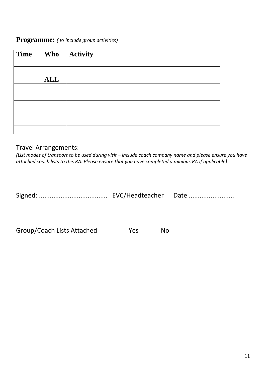#### **Programme:** *( to include group activities)*

| <b>Time</b> | <b>Who</b> | <b>Activity</b> |
|-------------|------------|-----------------|
|             |            |                 |
|             |            |                 |
|             | <b>ALL</b> |                 |
|             |            |                 |
|             |            |                 |
|             |            |                 |
|             |            |                 |
|             |            |                 |
|             |            |                 |

#### Travel Arrangements:

*(List modes of transport to be used during visit – include coach company name and please ensure you have attached coach lists to this RA. Please ensure that you have completed a minibus RA if applicable)*

Signed: ...................................... EVC/Headteacher Date .........................

Group/Coach Lists Attached Yes No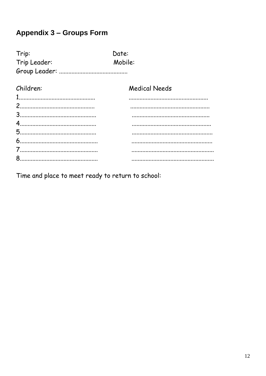### **Appendix 3 - Groups Form**

| Trip:        | Date:                |
|--------------|----------------------|
| Trip Leader: | Mobile:              |
|              |                      |
| Children:    | <b>Medical Needs</b> |
|              |                      |
|              |                      |
|              |                      |
|              |                      |
|              |                      |
|              |                      |
|              |                      |
|              |                      |
|              |                      |

Time and place to meet ready to return to school: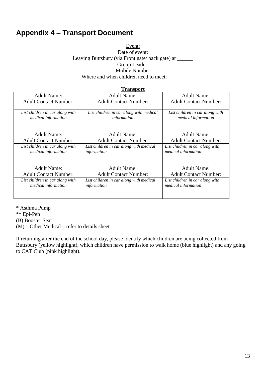### **Appendix 4 – Transport Document**

Event: Date of event: Leaving Buttsbury (via Front gate/ back gate) at \_\_\_\_\_\_ Group Leader: Mobile Number: Where and when children need to meet: \_\_\_\_\_\_

|                                                               | <b>Transport</b>                                       |                                                        |
|---------------------------------------------------------------|--------------------------------------------------------|--------------------------------------------------------|
| Adult Name:                                                   | Adult Name:                                            | Adult Name:                                            |
| <b>Adult Contact Number:</b>                                  | <b>Adult Contact Number:</b>                           | <b>Adult Contact Number:</b>                           |
| List children in car along with<br>medical information        | List children in car along with medical<br>information | List children in car along with<br>medical information |
| Adult Name:                                                   | <b>Adult Name:</b>                                     | <b>Adult Name:</b>                                     |
| <b>Adult Contact Number:</b>                                  | <b>Adult Contact Number:</b>                           | <b>Adult Contact Number:</b>                           |
| List children in car along with<br>medical information        | List children in car along with medical<br>information | List children in car along with<br>medical information |
| <b>Adult Name:</b>                                            | <b>Adult Name:</b>                                     | <b>Adult Name:</b>                                     |
| <b>Adult Contact Number:</b>                                  | <b>Adult Contact Number:</b>                           | <b>Adult Contact Number:</b>                           |
| List children in car along with<br><i>medical information</i> | List children in car along with medical<br>information | List children in car along with<br>medical information |

\* Asthma Pump \*\* Epi-Pen (B) Booster Seat (M) – Other Medical – refer to details sheet

If returning after the end of the school day, please identify which children are being collected from Buttsbury (yellow highlight), which children have permission to walk home (blue highlight) and any going to CAT Club (pink highlight).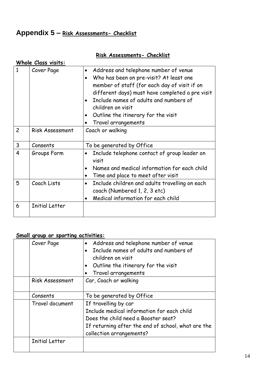## **Appendix 5 – Risk Assessments- Checklist**

|                | Whole Class visits:    |                                                                                                                                                                                                                                                                                                                                                                      |
|----------------|------------------------|----------------------------------------------------------------------------------------------------------------------------------------------------------------------------------------------------------------------------------------------------------------------------------------------------------------------------------------------------------------------|
| 1              | Cover Page             | Address and telephone number of venue<br>$\bullet$<br>Who has been on pre-visit? At least one<br>$\bullet$<br>member of staff (for each day of visit if on<br>different days) must have completed a pre visit<br>Include names of adults and numbers of<br>children on visit<br>Outline the itinerary for the visit<br>$\bullet$<br>Travel arrangements<br>$\bullet$ |
| $\overline{c}$ | <b>Risk Assessment</b> | Coach or walking                                                                                                                                                                                                                                                                                                                                                     |
| $\mathsf{3}$   | Consents               | To be generated by Office                                                                                                                                                                                                                                                                                                                                            |
| 4              | Groups Form            | Include telephone contact of group leader on<br>visit<br>Names and medical information for each child<br>$\bullet$<br>Time and place to meet after visit<br>$\bullet$                                                                                                                                                                                                |
| 5              | Coach Lists            | Include children and adults travelling on each<br>$\bullet$<br>coach (Numbered 1, 2, 3 etc)<br>Medical information for each child<br>$\bullet$                                                                                                                                                                                                                       |
| 6              | <b>Initial Letter</b>  |                                                                                                                                                                                                                                                                                                                                                                      |

### **Risk Assessments- Checklist**

### **Small group or sporting activities:**

| Cover Page             | Address and telephone number of venue<br>Include names of adults and numbers of<br>children on visit<br>Outline the itinerary for the visit<br>Travel arrangements                          |
|------------------------|---------------------------------------------------------------------------------------------------------------------------------------------------------------------------------------------|
| <b>Risk Assessment</b> | Car, Coach or walking                                                                                                                                                                       |
| Consents               | To be generated by Office                                                                                                                                                                   |
| Travel document        | If travelling by car<br>Include medical information for each child<br>Does the child need a Booster seat?<br>If returning after the end of school, what are the<br>collection arrangements? |
| <b>Initial Letter</b>  |                                                                                                                                                                                             |